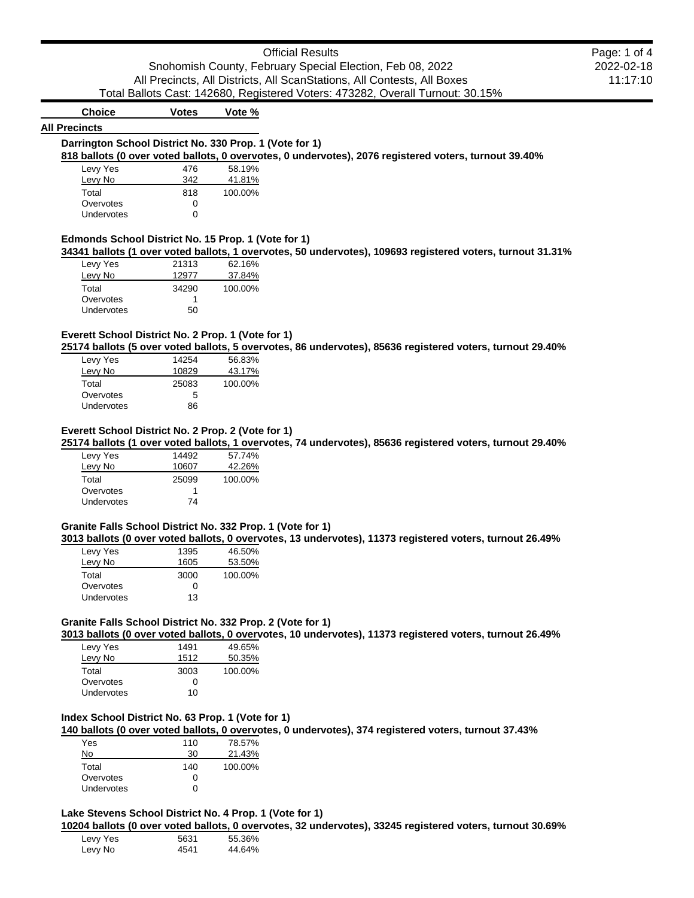| <b>Official Results</b>                                                        | Page: 1 of 4 |
|--------------------------------------------------------------------------------|--------------|
| Snohomish County, February Special Election, Feb 08, 2022                      | 2022-02-18   |
| All Precincts, All Districts, All ScanStations, All Contests, All Boxes        | 11:17:10     |
| Total Ballots Cast: 142680, Registered Voters: 473282, Overall Turnout: 30.15% |              |

# **Choice Votes Vote %**

### **All Precincts**

# **Darrington School District No. 330 Prop. 1 (Vote for 1)**

#### **818 ballots (0 over voted ballots, 0 overvotes, 0 undervotes), 2076 registered voters, turnout 39.40%**

| Levy Yes   | 476          | 58.19%  |
|------------|--------------|---------|
| Levy No    | 342          | 41.81%  |
| Total      | 818          | 100.00% |
| Overvotes  | $\mathbf{I}$ |         |
| Undervotes | 0            |         |

### **Edmonds School District No. 15 Prop. 1 (Vote for 1)**

**34341 ballots (1 over voted ballots, 1 overvotes, 50 undervotes), 109693 registered voters, turnout 31.31%**

| Levy Yes   | 21313 | 62.16%  |
|------------|-------|---------|
| Levy No    | 12977 | 37.84%  |
| Total      | 34290 | 100.00% |
| Overvotes  |       |         |
| Undervotes | 50    |         |

### **Everett School District No. 2 Prop. 1 (Vote for 1)**

**25174 ballots (5 over voted ballots, 5 overvotes, 86 undervotes), 85636 registered voters, turnout 29.40%**

| Levy Yes   | 14254 | 56.83%  |
|------------|-------|---------|
| Levy No    | 10829 | 43.17%  |
| Total      | 25083 | 100.00% |
| Overvotes  | 5     |         |
| Undervotes | 86    |         |
|            |       |         |

### **Everett School District No. 2 Prop. 2 (Vote for 1)**

**25174 ballots (1 over voted ballots, 1 overvotes, 74 undervotes), 85636 registered voters, turnout 29.40%**

| Levy Yes          | 14492 | 57.74%  |
|-------------------|-------|---------|
| Levy No           | 10607 | 42.26%  |
| Total             | 25099 | 100.00% |
| Overvotes         | 1     |         |
| <b>Undervotes</b> | 74    |         |
|                   |       |         |

### **Granite Falls School District No. 332 Prop. 1 (Vote for 1)**

**3013 ballots (0 over voted ballots, 0 overvotes, 13 undervotes), 11373 registered voters, turnout 26.49%**

| Levy Yes          | 1395 | 46.50%  |
|-------------------|------|---------|
| Levy No           | 1605 | 53.50%  |
| Total             | 3000 | 100.00% |
| Overvotes         | 0    |         |
| <b>Undervotes</b> | 13   |         |
|                   |      |         |

### **Granite Falls School District No. 332 Prop. 2 (Vote for 1)**

**3013 ballots (0 over voted ballots, 0 overvotes, 10 undervotes), 11373 registered voters, turnout 26.49%**

| Levy Yes   | 1491         | 49.65%  |
|------------|--------------|---------|
| Levy No    | 1512         | 50.35%  |
| Total      | 3003         | 100.00% |
| Overvotes  | $\mathbf{I}$ |         |
| Undervotes | 10           |         |

### **Index School District No. 63 Prop. 1 (Vote for 1)**

**140 ballots (0 over voted ballots, 0 overvotes, 0 undervotes), 374 registered voters, turnout 37.43%**

| Yes               | 110 | 78.57%  |
|-------------------|-----|---------|
| No                | 30  | 21.43%  |
| Total             | 140 | 100.00% |
| Overvotes         | U   |         |
| <b>Undervotes</b> | n   |         |

### **Lake Stevens School District No. 4 Prop. 1 (Vote for 1)**

**10204 ballots (0 over voted ballots, 0 overvotes, 32 undervotes), 33245 registered voters, turnout 30.69%**

| Levy Yes | 5631 | 55.36% |
|----------|------|--------|
| Levy No  | 4541 | 44.64% |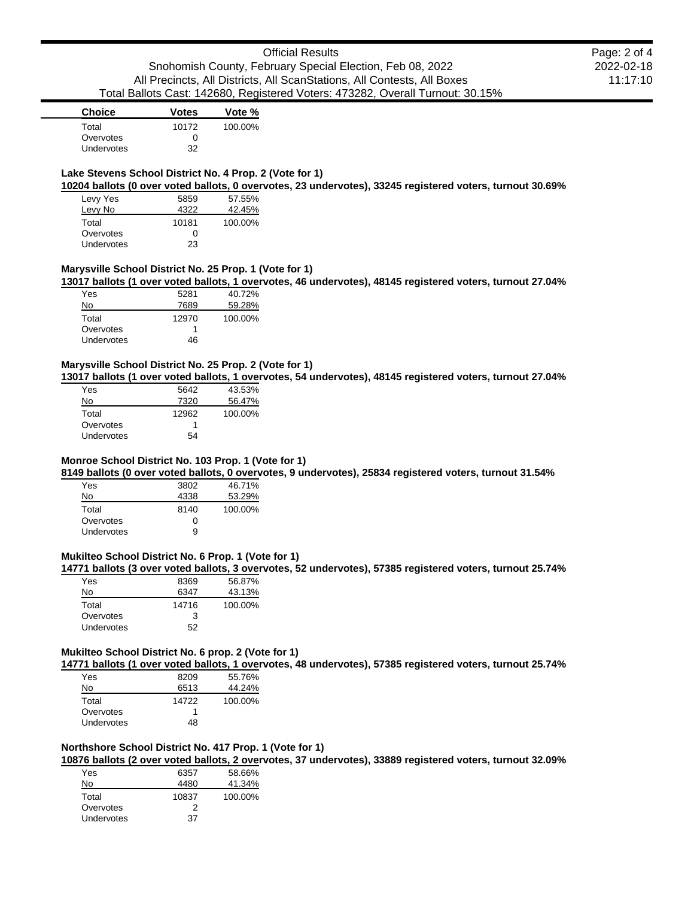| Page: 2 of 4 |
|--------------|
| 2022-02-18   |
| 11:17:10     |

### Snohomish County, February Special Election, Feb 08, 2022 All Precincts, All Districts, All ScanStations, All Contests, All Boxes Total Ballots Cast: 142680, Registered Voters: 473282, Overall Turnout: 30.15%

# **Choice Votes Vote %** Total 10172 100.00%

| Overvotes         | 0  |
|-------------------|----|
| <b>Undervotes</b> | 32 |

### **Lake Stevens School District No. 4 Prop. 2 (Vote for 1)**

**10204 ballots (0 over voted ballots, 0 overvotes, 23 undervotes), 33245 registered voters, turnout 30.69%**

| Levy Yes          | 5859  | 57.55%  |
|-------------------|-------|---------|
| Levy No           | 4322  | 42.45%  |
| Total             | 10181 | 100.00% |
| Overvotes         | 0     |         |
| <b>Undervotes</b> | 23    |         |

### **Marysville School District No. 25 Prop. 1 (Vote for 1)**

**13017 ballots (1 over voted ballots, 1 overvotes, 46 undervotes), 48145 registered voters, turnout 27.04%**

| Yes        | 5281  | 40.72%  |
|------------|-------|---------|
| No         | 7689  | 59.28%  |
| Total      | 12970 | 100.00% |
| Overvotes  |       |         |
| Undervotes | 46    |         |

### **Marysville School District No. 25 Prop. 2 (Vote for 1)**

**13017 ballots (1 over voted ballots, 1 overvotes, 54 undervotes), 48145 registered voters, turnout 27.04%**

| Yes        | 5642  | 43.53%  |
|------------|-------|---------|
| No         | 7320  | 56.47%  |
| Total      | 12962 | 100.00% |
| Overvotes  |       |         |
| Undervotes | 54    |         |

## **Monroe School District No. 103 Prop. 1 (Vote for 1)**

**8149 ballots (0 over voted ballots, 0 overvotes, 9 undervotes), 25834 registered voters, turnout 31.54%**

| Yes        | 3802 | 46.71%  |
|------------|------|---------|
| No         | 4338 | 53.29%  |
| Total      | 8140 | 100.00% |
| Overvotes  | O    |         |
| Undervotes | a    |         |

### **Mukilteo School District No. 6 Prop. 1 (Vote for 1)**

**14771 ballots (3 over voted ballots, 3 overvotes, 52 undervotes), 57385 registered voters, turnout 25.74%**

| Yes        | 8369  | 56.87%  |
|------------|-------|---------|
| No         | 6347  | 43.13%  |
| Total      | 14716 | 100.00% |
| Overvotes  | з     |         |
| Undervotes | 52    |         |

### **Mukilteo School District No. 6 prop. 2 (Vote for 1)**

**14771 ballots (1 over voted ballots, 1 overvotes, 48 undervotes), 57385 registered voters, turnout 25.74%**

| Yes        | 8209  | 55.76%  |
|------------|-------|---------|
| No         | 6513  | 44.24%  |
| Total      | 14722 | 100.00% |
| Overvotes  |       |         |
| Undervotes | 48    |         |

### **Northshore School District No. 417 Prop. 1 (Vote for 1)**

**10876 ballots (2 over voted ballots, 2 overvotes, 37 undervotes), 33889 registered voters, turnout 32.09%**

| Yes        | 6357  | 58.66%  |
|------------|-------|---------|
| No         | 4480  | 41.34%  |
| Total      | 10837 | 100.00% |
| Overvotes  | 2     |         |
| Undervotes | 37    |         |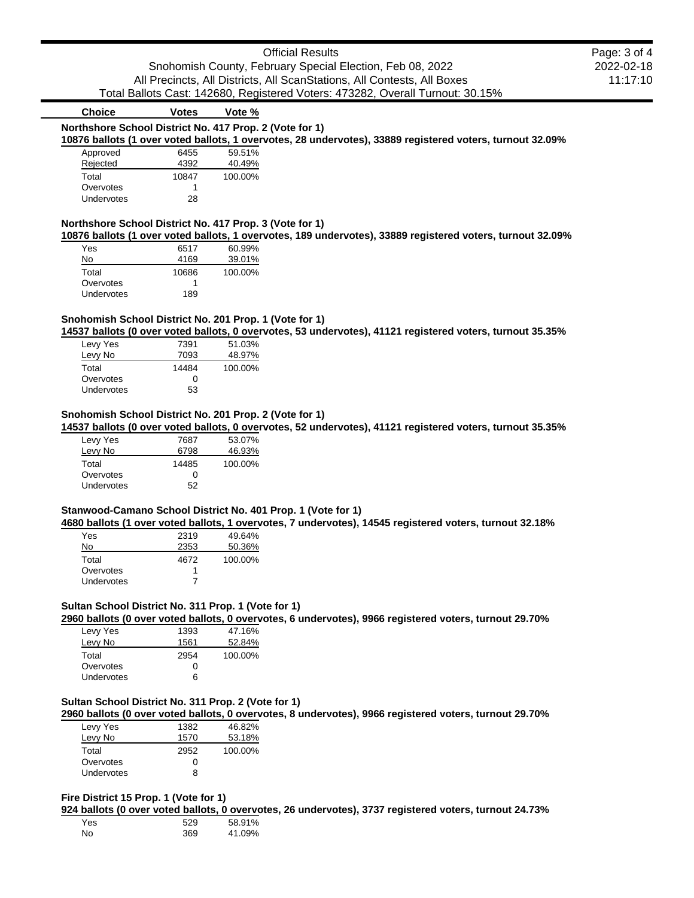| Official Results                                                               | Page: 3 of 4 |
|--------------------------------------------------------------------------------|--------------|
| Snohomish County, February Special Election, Feb 08, 2022                      | 2022-02-18   |
| All Precincts, All Districts, All ScanStations, All Contests, All Boxes        | 11:17:10     |
| Total Ballots Cast: 142680, Registered Voters: 473282, Overall Turnout: 30.15% |              |

# **Choice Votes Vote %**

#### **Northshore School District No. 417 Prop. 2 (Vote for 1)**

#### **10876 ballots (1 over voted ballots, 1 overvotes, 28 undervotes), 33889 registered voters, turnout 32.09%**

| Approved   | 6455  | 59.51%  |
|------------|-------|---------|
| Rejected   | 4392  | 40.49%  |
| Total      | 10847 | 100.00% |
| Overvotes  |       |         |
| Undervotes | 28    |         |

### **Northshore School District No. 417 Prop. 3 (Vote for 1)**

**10876 ballots (1 over voted ballots, 1 overvotes, 189 undervotes), 33889 registered voters, turnout 32.09%**

| Yes        | 6517  | 60.99%  |
|------------|-------|---------|
| No         | 4169  | 39.01%  |
| Total      | 10686 | 100.00% |
| Overvotes  |       |         |
| Undervotes | 189   |         |

### **Snohomish School District No. 201 Prop. 1 (Vote for 1)**

**14537 ballots (0 over voted ballots, 0 overvotes, 53 undervotes), 41121 registered voters, turnout 35.35%**

| Levy Yes   | 7391  | 51.03%  |
|------------|-------|---------|
| Levy No    | 7093  | 48.97%  |
| Total      | 14484 | 100.00% |
| Overvotes  | 0     |         |
| Undervotes | 53    |         |
|            |       |         |

### **Snohomish School District No. 201 Prop. 2 (Vote for 1)**

**14537 ballots (0 over voted ballots, 0 overvotes, 52 undervotes), 41121 registered voters, turnout 35.35%**

| Levy Yes   | 7687  | 53.07%  |
|------------|-------|---------|
| Levy No    | 6798  | 46.93%  |
| Total      | 14485 | 100.00% |
| Overvotes  | O     |         |
| Undervotes | 52    |         |

#### **Stanwood-Camano School District No. 401 Prop. 1 (Vote for 1)**

**4680 ballots (1 over voted ballots, 1 overvotes, 7 undervotes), 14545 registered voters, turnout 32.18%**

| Yes        | 2319 | 49.64%  |
|------------|------|---------|
| No         | 2353 | 50.36%  |
| Total      | 4672 | 100.00% |
| Overvotes  |      |         |
| Undervotes |      |         |

### **Sultan School District No. 311 Prop. 1 (Vote for 1)**

**2960 ballots (0 over voted ballots, 0 overvotes, 6 undervotes), 9966 registered voters, turnout 29.70%**

| Levy Yes          | 1393 | 47.16%  |
|-------------------|------|---------|
| Levy No           | 1561 | 52.84%  |
| Total             | 2954 | 100.00% |
| Overvotes         | 0    |         |
| <b>Undervotes</b> | ิค   |         |

#### **Sultan School District No. 311 Prop. 2 (Vote for 1)**

**2960 ballots (0 over voted ballots, 0 overvotes, 8 undervotes), 9966 registered voters, turnout 29.70%**

| Levy Yes   | 1382 | 46.82%  |
|------------|------|---------|
| Levy No    | 1570 | 53.18%  |
| Total      | 2952 | 100.00% |
| Overvotes  | O    |         |
| Undervotes | R    |         |

### **Fire District 15 Prop. 1 (Vote for 1)**

**924 ballots (0 over voted ballots, 0 overvotes, 26 undervotes), 3737 registered voters, turnout 24.73%**

| Yes | 529 | 58.91% |
|-----|-----|--------|
| No  | 369 | 41.09% |